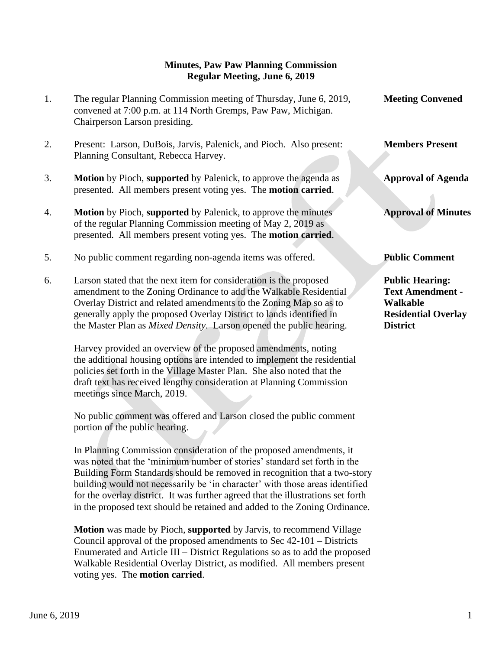## **Minutes, Paw Paw Planning Commission Regular Meeting, June 6, 2019**

- 1. The regular Planning Commission meeting of Thursday, June 6, 2019, **Meeting Convened** convened at 7:00 p.m. at 114 North Gremps, Paw Paw, Michigan. Chairperson Larson presiding.
- 2. Present: Larson, DuBois, Jarvis, Palenick, and Pioch. Also present: **Members Present** Planning Consultant, Rebecca Harvey.
- 3. **Motion** by Pioch, **supported** by Palenick, to approve the agenda as **Approval of Agenda** presented. All members present voting yes. The **motion carried**.
- 4. **Motion** by Pioch, **supported** by Palenick, to approve the minutes **Approval of Minutes** of the regular Planning Commission meeting of May 2, 2019 as presented. All members present voting yes. The **motion carried**.
- 5. No public comment regarding non-agenda items was offered. **Public Comment**
- 6. Larson stated that the next item for consideration is the proposed **Public Hearing:** amendment to the Zoning Ordinance to add the Walkable Residential **Text Amendment -** Overlay District and related amendments to the Zoning Map so as to **Walkable** generally apply the proposed Overlay District to lands identified in **Residential Overlay** the Master Plan as *Mixed Density*. Larson opened the public hearing. **District**

 Harvey provided an overview of the proposed amendments, noting the additional housing options are intended to implement the residential policies set forth in the Village Master Plan. She also noted that the draft text has received lengthy consideration at Planning Commission meetings since March, 2019.

 No public comment was offered and Larson closed the public comment portion of the public hearing.

 In Planning Commission consideration of the proposed amendments, it was noted that the 'minimum number of stories' standard set forth in the Building Form Standards should be removed in recognition that a two-story building would not necessarily be 'in character' with those areas identified for the overlay district. It was further agreed that the illustrations set forth in the proposed text should be retained and added to the Zoning Ordinance.

 **Motion** was made by Pioch, **supported** by Jarvis, to recommend Village Council approval of the proposed amendments to Sec 42-101 – Districts Enumerated and Article III – District Regulations so as to add the proposed Walkable Residential Overlay District, as modified. All members present voting yes. The **motion carried**.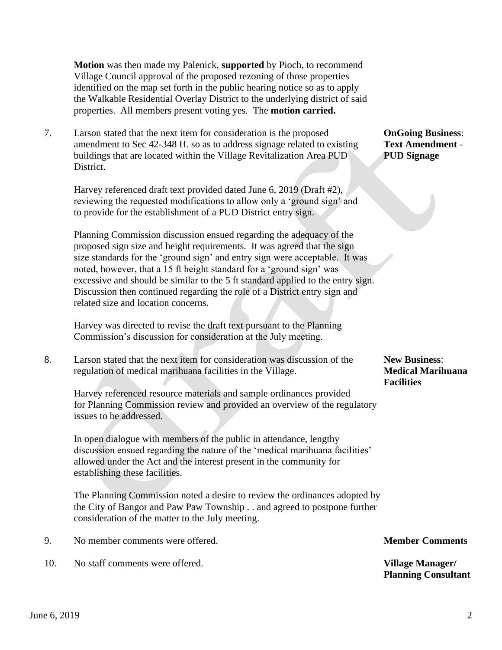**Motion** was then made my Palenick, **supported** by Pioch, to recommend Village Council approval of the proposed rezoning of those properties identified on the map set forth in the public hearing notice so as to apply the Walkable Residential Overlay District to the underlying district of said properties. All members present voting yes. The **motion carried.**

7. Larson stated that the next item for consideration is the proposed **OnGoing Business**: amendment to Sec 42-348 H. so as to address signage related to existing **Text Amendment** buildings that are located within the Village Revitalization Area PUD **PUD Signage** District.

 Harvey referenced draft text provided dated June 6, 2019 (Draft #2), reviewing the requested modifications to allow only a 'ground sign' and to provide for the establishment of a PUD District entry sign.

 Planning Commission discussion ensued regarding the adequacy of the proposed sign size and height requirements. It was agreed that the sign size standards for the 'ground sign' and entry sign were acceptable. It was noted, however, that a 15 ft height standard for a 'ground sign' was excessive and should be similar to the 5 ft standard applied to the entry sign. Discussion then continued regarding the role of a District entry sign and related size and location concerns.

 Harvey was directed to revise the draft text pursuant to the Planning Commission's discussion for consideration at the July meeting.

8. Larson stated that the next item for consideration was discussion of the **New Business**: regulation of medical marihuana facilities in the Village. **Medical Marihuana**

 Harvey referenced resource materials and sample ordinances provided for Planning Commission review and provided an overview of the regulatory issues to be addressed.

 In open dialogue with members of the public in attendance, lengthy discussion ensued regarding the nature of the 'medical marihuana facilities' allowed under the Act and the interest present in the community for establishing these facilities.

 The Planning Commission noted a desire to review the ordinances adopted by the City of Bangor and Paw Paw Township . . and agreed to postpone further consideration of the matter to the July meeting.

- 9. No member comments were offered. **Member Comments**
- 10. No staff comments were offered. **Village Manager/**

*Facilities* 

**Planning Consultant**